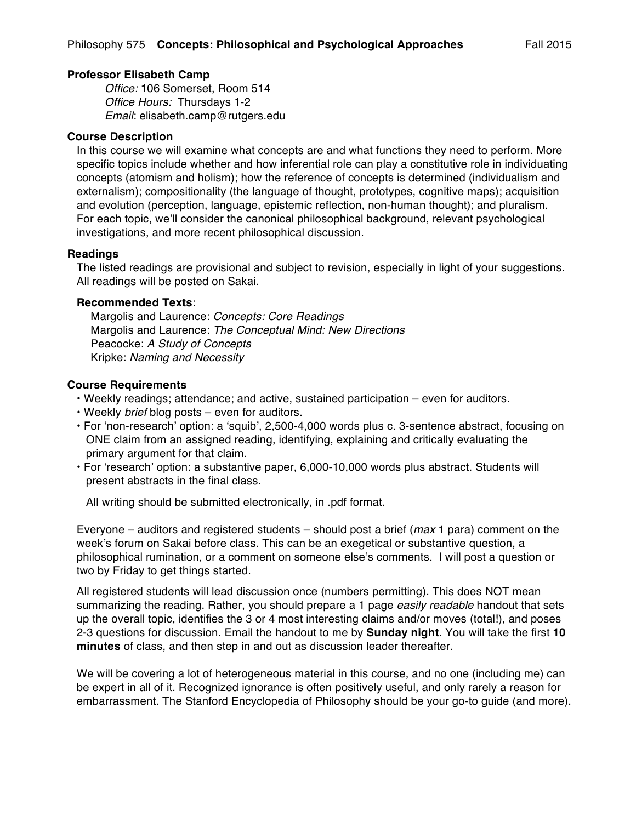## **Professor Elisabeth Camp**

*Office:* 106 Somerset, Room 514 *Office Hours:* Thursdays 1-2 *Email*: elisabeth.camp@rutgers.edu

### **Course Description**

In this course we will examine what concepts are and what functions they need to perform. More specific topics include whether and how inferential role can play a constitutive role in individuating concepts (atomism and holism); how the reference of concepts is determined (individualism and externalism); compositionality (the language of thought, prototypes, cognitive maps); acquisition and evolution (perception, language, epistemic reflection, non-human thought); and pluralism. For each topic, we'll consider the canonical philosophical background, relevant psychological investigations, and more recent philosophical discussion.

## **Readings**

The listed readings are provisional and subject to revision, especially in light of your suggestions. All readings will be posted on Sakai.

#### **Recommended Texts**:

Margolis and Laurence: *Concepts: Core Readings* Margolis and Laurence: *The Conceptual Mind: New Directions* Peacocke: *A Study of Concepts* Kripke: *Naming and Necessity*

#### **Course Requirements**

- Weekly readings; attendance; and active, sustained participation even for auditors.
- Weekly *brief* blog posts even for auditors.
- For 'non-research' option: a 'squib', 2,500-4,000 words plus c. 3-sentence abstract, focusing on ONE claim from an assigned reading, identifying, explaining and critically evaluating the primary argument for that claim.
- For 'research' option: a substantive paper, 6,000-10,000 words plus abstract. Students will present abstracts in the final class.

All writing should be submitted electronically, in .pdf format.

Everyone – auditors and registered students – should post a brief (*max* 1 para) comment on the week's forum on Sakai before class. This can be an exegetical or substantive question, a philosophical rumination, or a comment on someone else's comments. I will post a question or two by Friday to get things started.

All registered students will lead discussion once (numbers permitting). This does NOT mean summarizing the reading. Rather, you should prepare a 1 page *easily readable* handout that sets up the overall topic, identifies the 3 or 4 most interesting claims and/or moves (total!), and poses 2-3 questions for discussion. Email the handout to me by **Sunday night**. You will take the first **10 minutes** of class, and then step in and out as discussion leader thereafter.

We will be covering a lot of heterogeneous material in this course, and no one (including me) can be expert in all of it. Recognized ignorance is often positively useful, and only rarely a reason for embarrassment. The Stanford Encyclopedia of Philosophy should be your go-to guide (and more).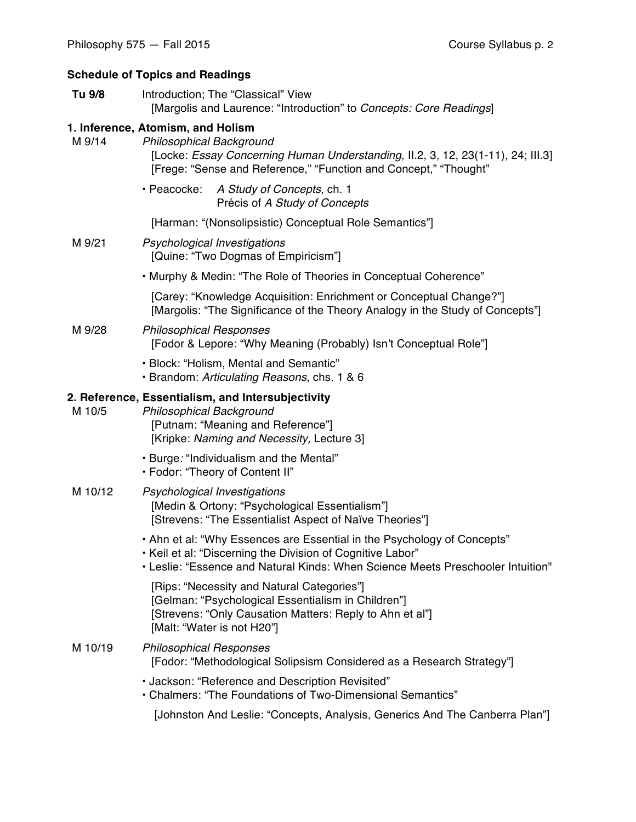# **Schedule of Topics and Readings**

| Tu 9/8  | Introduction; The "Classical" View<br>[Margolis and Laurence: "Introduction" to Concepts: Core Readings]                                                                                                                    |
|---------|-----------------------------------------------------------------------------------------------------------------------------------------------------------------------------------------------------------------------------|
| M 9/14  | 1. Inference, Atomism, and Holism<br><b>Philosophical Background</b><br>[Locke: Essay Concerning Human Understanding, II.2, 3, 12, 23(1-11), 24; III.3]<br>[Frege: "Sense and Reference," "Function and Concept," "Thought" |
|         | · Peacocke:<br>A Study of Concepts, ch. 1<br>Précis of A Study of Concepts                                                                                                                                                  |
|         | [Harman: "(Nonsolipsistic) Conceptual Role Semantics"]                                                                                                                                                                      |
| M 9/21  | Psychological Investigations<br>[Quine: "Two Dogmas of Empiricism"]                                                                                                                                                         |
|         | • Murphy & Medin: "The Role of Theories in Conceptual Coherence"                                                                                                                                                            |
|         | [Carey: "Knowledge Acquisition: Enrichment or Conceptual Change?"]<br>[Margolis: "The Significance of the Theory Analogy in the Study of Concepts"]                                                                         |
| M 9/28  | <b>Philosophical Responses</b><br>[Fodor & Lepore: "Why Meaning (Probably) Isn't Conceptual Role"]                                                                                                                          |
|         | • Block: "Holism, Mental and Semantic"<br>• Brandom: Articulating Reasons, chs. 1 & 6                                                                                                                                       |
| M 10/5  | 2. Reference, Essentialism, and Intersubjectivity<br><b>Philosophical Background</b><br>[Putnam: "Meaning and Reference"]<br>[Kripke: Naming and Necessity, Lecture 3]                                                      |
|         | • Burge: "Individualism and the Mental"<br>· Fodor: "Theory of Content II"                                                                                                                                                  |
| M 10/12 | Psychological Investigations<br>[Medin & Ortony: "Psychological Essentialism"]<br>[Strevens: "The Essentialist Aspect of Naïve Theories"]                                                                                   |
|         | • Ahn et al: "Why Essences are Essential in the Psychology of Concepts"<br>• Keil et al: "Discerning the Division of Cognitive Labor"<br>. Leslie: "Essence and Natural Kinds: When Science Meets Preschooler Intuition"    |
|         | [Rips: "Necessity and Natural Categories"]<br>[Gelman: "Psychological Essentialism in Children"]<br>[Strevens: "Only Causation Matters: Reply to Ahn et al"]<br>[Malt: "Water is not H20"]                                  |
| M 10/19 | <b>Philosophical Responses</b><br>[Fodor: "Methodological Solipsism Considered as a Research Strategy"]                                                                                                                     |
|         | • Jackson: "Reference and Description Revisited"<br>• Chalmers: "The Foundations of Two-Dimensional Semantics"                                                                                                              |
|         | [Johnston And Leslie: "Concepts, Analysis, Generics And The Canberra Plan"]                                                                                                                                                 |